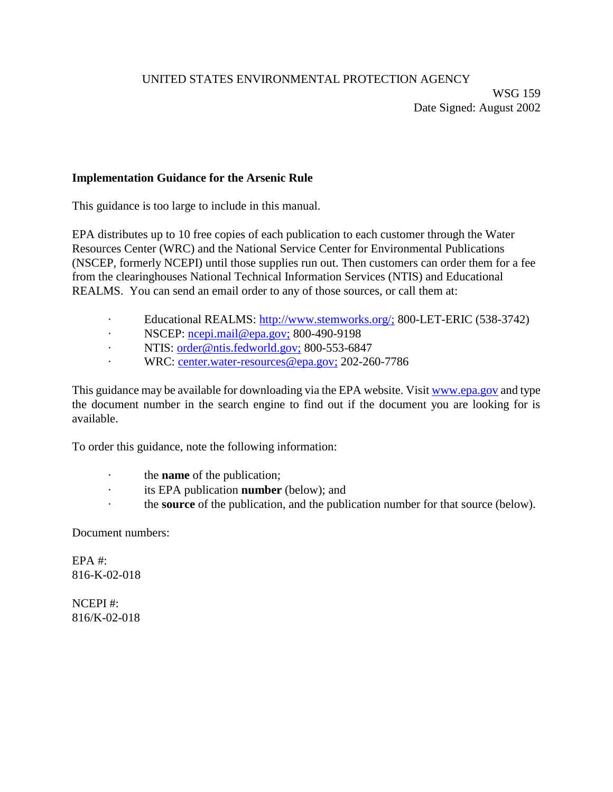## UNITED STATES ENVIRONMENTAL PROTECTION AGENCY

## **Implementation Guidance for the Arsenic Rule**

This guidance is too large to include in this manual.

EPA distributes up to 10 free copies of each publication to each customer through the Water Resources Center (WRC) and the National Service Center for Environmental Publications (NSCEP, formerly NCEPI) until those supplies run out. Then customers can order them for a fee from the clearinghouses National Technical Information Services (NTIS) and Educational REALMS. You can send an email order to any of those sources, or call them at:

- · Educational REALMS: http://www.stemworks.org/; 800-LET-ERIC (538-3742)
- · NSCEP: ncepi.mail@epa.gov; 800-490-9198
- · NTIS: order@ntis.fedworld.gov; 800-553-6847
- · WRC: center.water-resources@epa.gov; 202-260-7786

This guidance may be available for downloading via the EPA website. Visit www.epa.gov and type the document number in the search engine to find out if the document you are looking for is available.

To order this guidance, note the following information:

- · the **name** of the publication;
- · its EPA publication **number** (below); and
- · the **source** of the publication, and the publication number for that source (below).

Document numbers:

EPA #: 816-K-02-018

NCEPI #: 816/K-02-018